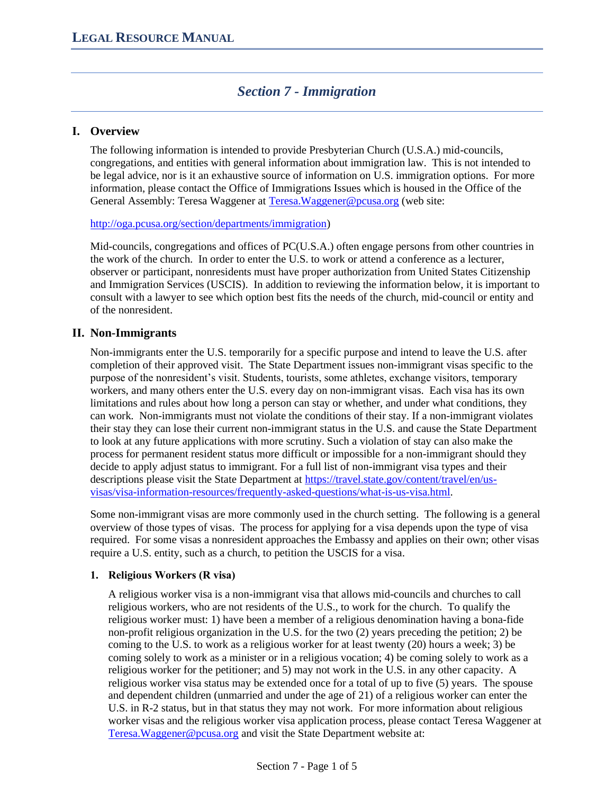# *Section 7 - Immigration*

# **I. Overview**

The following information is intended to provide Presbyterian Church (U.S.A.) mid-councils, congregations, and entities with general information about immigration law. This is not intended to be legal advice, nor is it an exhaustive source of information on U.S. immigration options. For more information, please contact the Office of Immigrations Issues which is housed in the Office of the General Assembly: Teresa Waggener at [Teresa.Waggener@pcusa.org](mailto:Teresa.Waggener@pcusa.org) (web site:

[http://oga.pcusa.org/section/departments/immigration\)](http://oga.pcusa.org/section/departments/immigration/)

Mid-councils, congregations and offices of PC(U.S.A.) often engage persons from other countries in the work of the church. In order to enter the U.S. to work or attend a conference as a lecturer, observer or participant, nonresidents must have proper authorization from United States Citizenship and Immigration Services (USCIS). In addition to reviewing the information below, it is important to consult with a lawyer to see which option best fits the needs of the church, mid-council or entity and of the nonresident.

# **II. Non-Immigrants**

Non-immigrants enter the U.S. temporarily for a specific purpose and intend to leave the U.S. after completion of their approved visit. The State Department issues non-immigrant visas specific to the purpose of the nonresident's visit. Students, tourists, some athletes, exchange visitors, temporary workers, and many others enter the U.S. every day on non-immigrant visas. Each visa has its own limitations and rules about how long a person can stay or whether, and under what conditions, they can work. Non-immigrants must not violate the conditions of their stay. If a non-immigrant violates their stay they can lose their current non-immigrant status in the U.S. and cause the State Department to look at any future applications with more scrutiny. Such a violation of stay can also make the process for permanent resident status more difficult or impossible for a non-immigrant should they decide to apply adjust status to immigrant. For a full list of non-immigrant visa types and their descriptions please visit the State Department at [https://travel.state.gov/content/travel/en/us](https://travel.state.gov/content/travel/en/us-visas/visa-information-resources/frequently-asked-questions/what-is-us-visa.html)[visas/visa-information-resources/frequently-asked-questions/what-is-us-visa.html.](https://travel.state.gov/content/travel/en/us-visas/visa-information-resources/frequently-asked-questions/what-is-us-visa.html)

Some non-immigrant visas are more commonly used in the church setting. The following is a general overview of those types of visas. The process for applying for a visa depends upon the type of visa required. For some visas a nonresident approaches the Embassy and applies on their own; other visas require a U.S. entity, such as a church, to petition the USCIS for a visa.

#### **1. Religious Workers (R visa)**

A religious worker visa is a non-immigrant visa that allows mid-councils and churches to call religious workers, who are not residents of the U.S., to work for the church. To qualify the religious worker must: 1) have been a member of a religious denomination having a bona-fide non-profit religious organization in the U.S. for the two (2) years preceding the petition; 2) be coming to the U.S. to work as a religious worker for at least twenty (20) hours a week; 3) be coming solely to work as a minister or in a religious vocation; 4) be coming solely to work as a religious worker for the petitioner; and 5) may not work in the U.S. in any other capacity. A religious worker visa status may be extended once for a total of up to five (5) years. The spouse and dependent children (unmarried and under the age of 21) of a religious worker can enter the U.S. in R-2 status, but in that status they may not work. For more information about religious worker visas and the religious worker visa application process, please contact Teresa Waggener at [Teresa.Waggener@pcusa.org](mailto:Teresa.Waggener@pcusa.org) and visit the State Department website at: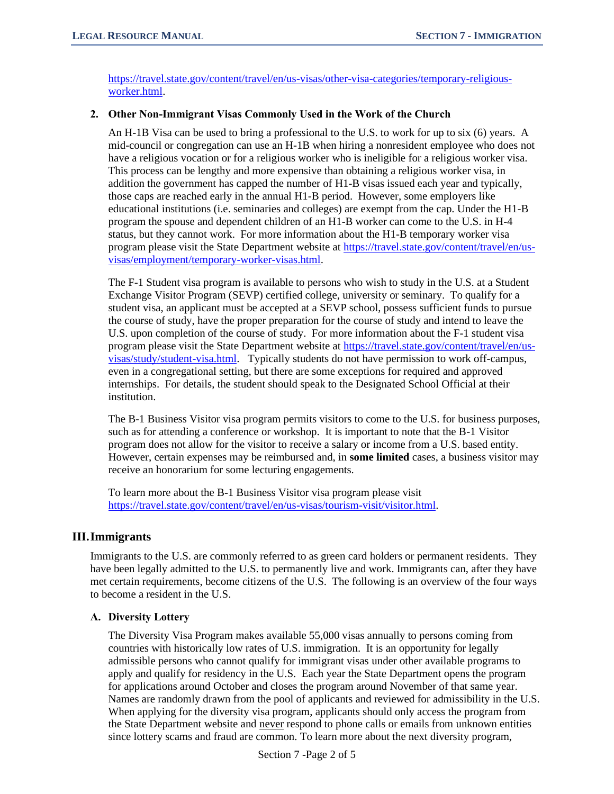[https://travel.state.gov/content/travel/en/us-visas/other-visa-categories/temporary-religious](https://travel.state.gov/content/travel/en/us-visas/other-visa-categories/temporary-religious-worker.html)[worker.html.](https://travel.state.gov/content/travel/en/us-visas/other-visa-categories/temporary-religious-worker.html)

#### **2. Other Non-Immigrant Visas Commonly Used in the Work of the Church**

An H-1B Visa can be used to bring a professional to the U.S. to work for up to six (6) years. A mid-council or congregation can use an H-1B when hiring a nonresident employee who does not have a religious vocation or for a religious worker who is ineligible for a religious worker visa. This process can be lengthy and more expensive than obtaining a religious worker visa, in addition the government has capped the number of H1-B visas issued each year and typically, those caps are reached early in the annual H1-B period. However, some employers like educational institutions (i.e. seminaries and colleges) are exempt from the cap. Under the H1-B program the spouse and dependent children of an H1-B worker can come to the U.S. in H-4 status, but they cannot work. For more information about the H1-B temporary worker visa program please visit the State Department website at [https://travel.state.gov/content/travel/en/us](https://travel.state.gov/content/travel/en/us-visas/employment/temporary-worker-visas.html)[visas/employment/temporary-worker-visas.html.](https://travel.state.gov/content/travel/en/us-visas/employment/temporary-worker-visas.html)

The F-1 Student visa program is available to persons who wish to study in the U.S. at a Student Exchange Visitor Program (SEVP) certified college, university or seminary. To qualify for a student visa, an applicant must be accepted at a SEVP school, possess sufficient funds to pursue the course of study, have the proper preparation for the course of study and intend to leave the U.S. upon completion of the course of study. For more information about the F-1 student visa program please visit the State Department website at [https://travel.state.gov/content/travel/en/us](https://travel.state.gov/content/travel/en/us-visas/study/student-visa.html)[visas/study/student-visa.html.](https://travel.state.gov/content/travel/en/us-visas/study/student-visa.html) Typically students do not have permission to work off-campus, even in a congregational setting, but there are some exceptions for required and approved internships. For details, the student should speak to the Designated School Official at their institution.

The B-1 Business Visitor visa program permits visitors to come to the U.S. for business purposes, such as for attending a conference or workshop. It is important to note that the B-1 Visitor program does not allow for the visitor to receive a salary or income from a U.S. based entity. However, certain expenses may be reimbursed and, in **some limited** cases, a business visitor may receive an honorarium for some lecturing engagements.

To learn more about the B-1 Business Visitor visa program please visit [https://travel.state.gov/content/travel/en/us-visas/tourism-visit/visitor.html.](https://travel.state.gov/content/travel/en/us-visas/tourism-visit/visitor.html)

# **III.Immigrants**

Immigrants to the U.S. are commonly referred to as green card holders or permanent residents. They have been legally admitted to the U.S. to permanently live and work. Immigrants can, after they have met certain requirements, become citizens of the U.S. The following is an overview of the four ways to become a resident in the U.S.

# **A. Diversity Lottery**

The Diversity Visa Program makes available 55,000 visas annually to persons coming from countries with historically low rates of U.S. immigration. It is an opportunity for legally admissible persons who cannot qualify for immigrant visas under other available programs to apply and qualify for residency in the U.S. Each year the State Department opens the program for applications around October and closes the program around November of that same year. Names are randomly drawn from the pool of applicants and reviewed for admissibility in the U.S. When applying for the diversity visa program, applicants should only access the program from the State Department website and never respond to phone calls or emails from unknown entities since lottery scams and fraud are common. To learn more about the next diversity program,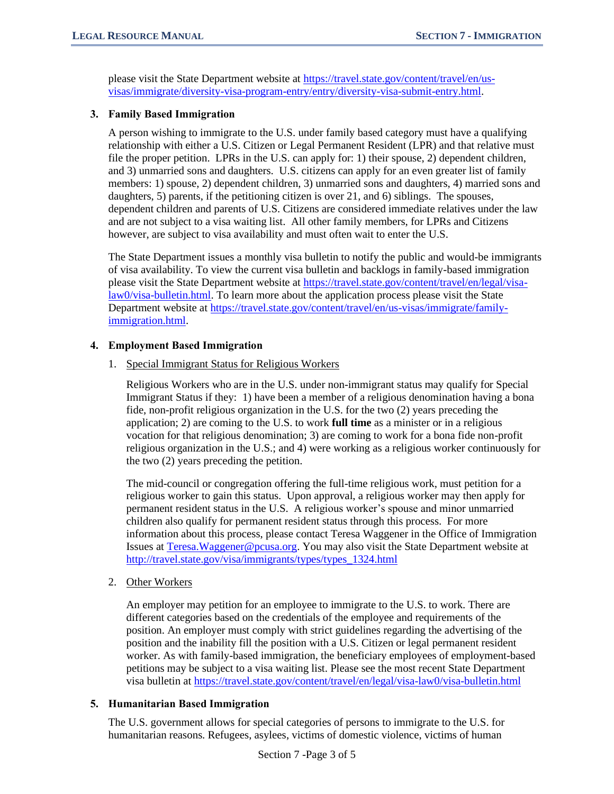please visit the State Department website at [https://travel.state.gov/content/travel/en/us](https://travel.state.gov/content/travel/en/us-visas/immigrate/diversity-visa-program-entry/entry/diversity-visa-submit-entry.html)[visas/immigrate/diversity-visa-program-entry/entry/diversity-visa-submit-entry.html.](https://travel.state.gov/content/travel/en/us-visas/immigrate/diversity-visa-program-entry/entry/diversity-visa-submit-entry.html)

#### **3. Family Based Immigration**

A person wishing to immigrate to the U.S. under family based category must have a qualifying relationship with either a U.S. Citizen or Legal Permanent Resident (LPR) and that relative must file the proper petition. LPRs in the U.S. can apply for: 1) their spouse, 2) dependent children, and 3) unmarried sons and daughters. U.S. citizens can apply for an even greater list of family members: 1) spouse, 2) dependent children, 3) unmarried sons and daughters, 4) married sons and daughters, 5) parents, if the petitioning citizen is over 21, and 6) siblings. The spouses, dependent children and parents of U.S. Citizens are considered immediate relatives under the law and are not subject to a visa waiting list. All other family members, for LPRs and Citizens however, are subject to visa availability and must often wait to enter the U.S.

The State Department issues a monthly visa bulletin to notify the public and would-be immigrants of visa availability. To view the current visa bulletin and backlogs in family-based immigration please visit the State Department website at [https://travel.state.gov/content/travel/en/legal/visa](https://travel.state.gov/content/travel/en/legal/visa-law0/visa-bulletin.html)[law0/visa-bulletin.html.](https://travel.state.gov/content/travel/en/legal/visa-law0/visa-bulletin.html) To learn more about the application process please visit the State Department website a[t https://travel.state.gov/content/travel/en/us-visas/immigrate/family](https://travel.state.gov/content/travel/en/us-visas/immigrate/family-immigration.html)[immigration.html.](https://travel.state.gov/content/travel/en/us-visas/immigrate/family-immigration.html)

## **4. Employment Based Immigration**

1. Special Immigrant Status for Religious Workers

Religious Workers who are in the U.S. under non-immigrant status may qualify for Special Immigrant Status if they: 1) have been a member of a religious denomination having a bona fide, non-profit religious organization in the U.S. for the two (2) years preceding the application; 2) are coming to the U.S. to work **full time** as a minister or in a religious vocation for that religious denomination; 3) are coming to work for a bona fide non-profit religious organization in the U.S.; and 4) were working as a religious worker continuously for the two (2) years preceding the petition.

The mid-council or congregation offering the full-time religious work, must petition for a religious worker to gain this status. Upon approval, a religious worker may then apply for permanent resident status in the U.S. A religious worker's spouse and minor unmarried children also qualify for permanent resident status through this process. For more information about this process, please contact Teresa Waggener in the Office of Immigration Issues at [Teresa.Waggener@pcusa.org.](mailto:Teresa.Waggener@pcusa.org) You may also visit the State Department website at [http://travel.state.gov/visa/immigrants/types/types\\_1324.html](http://travel.state.gov/visa/immigrants/types/types_1324.html)

2. Other Workers

An employer may petition for an employee to immigrate to the U.S. to work. There are different categories based on the credentials of the employee and requirements of the position. An employer must comply with strict guidelines regarding the advertising of the position and the inability fill the position with a U.S. Citizen or legal permanent resident worker. As with family-based immigration, the beneficiary employees of employment-based petitions may be subject to a visa waiting list. Please see the most recent State Department visa bulletin at<https://travel.state.gov/content/travel/en/legal/visa-law0/visa-bulletin.html>

# **5. Humanitarian Based Immigration**

The U.S. government allows for special categories of persons to immigrate to the U.S. for humanitarian reasons. Refugees, asylees, victims of domestic violence, victims of human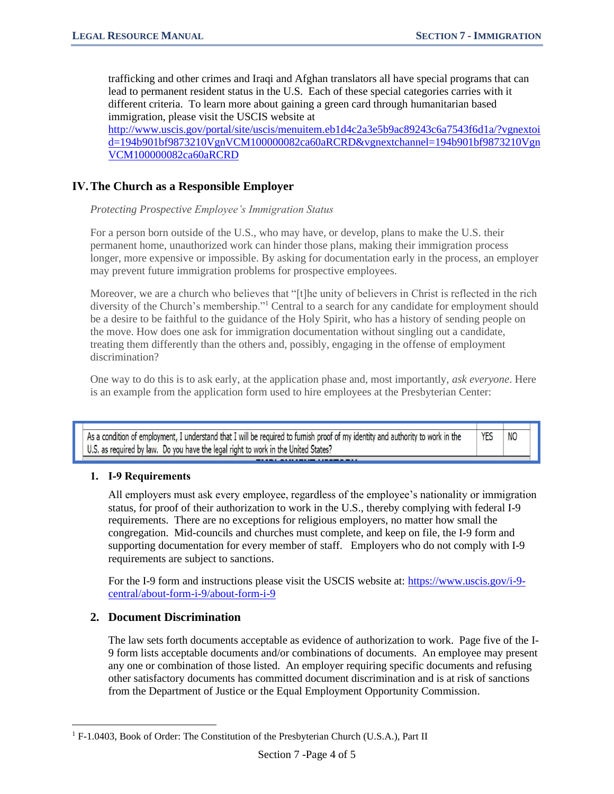N<sub>O</sub>

trafficking and other crimes and Iraqi and Afghan translators all have special programs that can lead to permanent resident status in the U.S. Each of these special categories carries with it different criteria. To learn more about gaining a green card through humanitarian based immigration, please visit the USCIS website at [http://www.uscis.gov/portal/site/uscis/menuitem.eb1d4c2a3e5b9ac89243c6a7543f6d1a/?vgnextoi](http://www.uscis.gov/portal/site/uscis/menuitem.eb1d4c2a3e5b9ac89243c6a7543f6d1a/?vgnextoid=194b901bf9873210VgnVCM100000082ca60aRCRD&vgnextchannel=194b901bf9873210VgnVCM100000082ca60aRCRD)

[d=194b901bf9873210VgnVCM100000082ca60aRCRD&vgnextchannel=194b901bf9873210Vgn](http://www.uscis.gov/portal/site/uscis/menuitem.eb1d4c2a3e5b9ac89243c6a7543f6d1a/?vgnextoid=194b901bf9873210VgnVCM100000082ca60aRCRD&vgnextchannel=194b901bf9873210VgnVCM100000082ca60aRCRD) [VCM100000082ca60aRCRD](http://www.uscis.gov/portal/site/uscis/menuitem.eb1d4c2a3e5b9ac89243c6a7543f6d1a/?vgnextoid=194b901bf9873210VgnVCM100000082ca60aRCRD&vgnextchannel=194b901bf9873210VgnVCM100000082ca60aRCRD)

## **IV.The Church as a Responsible Employer**

#### *Protecting Prospective Employee's Immigration Status*

For a person born outside of the U.S., who may have, or develop, plans to make the U.S. their permanent home, unauthorized work can hinder those plans, making their immigration process longer, more expensive or impossible. By asking for documentation early in the process, an employer may prevent future immigration problems for prospective employees.

Moreover, we are a church who believes that "[t]he unity of believers in Christ is reflected in the rich diversity of the Church's membership."<sup>1</sup> Central to a search for any candidate for employment should be a desire to be faithful to the guidance of the Holy Spirit, who has a history of sending people on the move. How does one ask for immigration documentation without singling out a candidate, treating them differently than the others and, possibly, engaging in the offense of employment discrimination?

One way to do this is to ask early, at the application phase and, most importantly, *ask everyone*. Here is an example from the application form used to hire employees at the Presbyterian Center:

As a condition of employment, I understand that I will be required to furnish proof of my identity and authority to work in the **YES** U.S. as required by law. Do you have the legal right to work in the United States?

#### **1. I-9 Requirements**

All employers must ask every employee, regardless of the employee's nationality or immigration status, for proof of their authorization to work in the U.S., thereby complying with federal I-9 requirements. There are no exceptions for religious employers, no matter how small the congregation. Mid-councils and churches must complete, and keep on file, the I-9 form and supporting documentation for every member of staff. Employers who do not comply with I-9 requirements are subject to sanctions.

For the I-9 form and instructions please visit the USCIS website at: [https://www.uscis.gov/i-9](https://www.uscis.gov/i-9-central/about-form-i-9/about-form-i-9) [central/about-form-i-9/about-form-i-9](https://www.uscis.gov/i-9-central/about-form-i-9/about-form-i-9)

# **2. Document Discrimination**

The law sets forth documents acceptable as evidence of authorization to work. Page five of the I-9 form lists acceptable documents and/or combinations of documents. An employee may present any one or combination of those listed. An employer requiring specific documents and refusing other satisfactory documents has committed document discrimination and is at risk of sanctions from the Department of Justice or the Equal Employment Opportunity Commission.

<sup>&</sup>lt;sup>1</sup> F-1.0403, Book of Order: The Constitution of the Presbyterian Church (U.S.A.), Part II